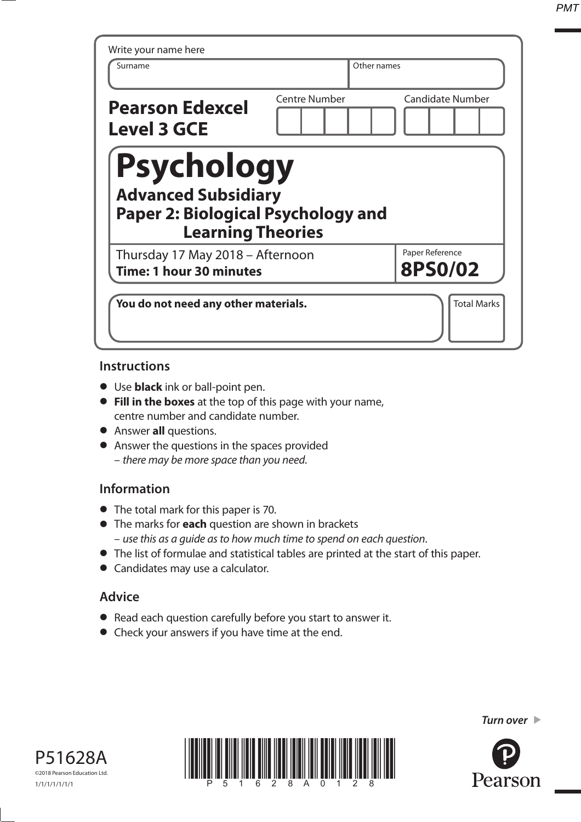| Write your name here<br>Surname                                                                                          | Other names   |                                   |
|--------------------------------------------------------------------------------------------------------------------------|---------------|-----------------------------------|
| <b>Pearson Edexcel</b><br><b>Level 3 GCE</b>                                                                             | Centre Number | <b>Candidate Number</b>           |
|                                                                                                                          |               |                                   |
| <b>Psychology</b><br><b>Advanced Subsidiary</b><br><b>Paper 2: Biological Psychology and</b><br><b>Learning Theories</b> |               |                                   |
| Thursday 17 May 2018 - Afternoon<br><b>Time: 1 hour 30 minutes</b>                                                       |               | Paper Reference<br><b>8PS0/02</b> |

#### **Instructions**

- Use **black** ink or ball-point pen.
- **Fill in the boxes** at the top of this page with your name, centre number and candidate number.
- Answer **all** questions.
- Answer the questions in the spaces provided – there may be more space than you need.

#### **Information**

- The total mark for this paper is 70.
- The marks for **each** question are shown in brackets – use this as a guide as to how much time to spend on each question.
- The list of formulae and statistical tables are printed at the start of this paper.
- Candidates may use a calculator.

## **Advice**

- Read each question carefully before you start to answer it.
- Check your answers if you have time at the end.





*Turn over* 

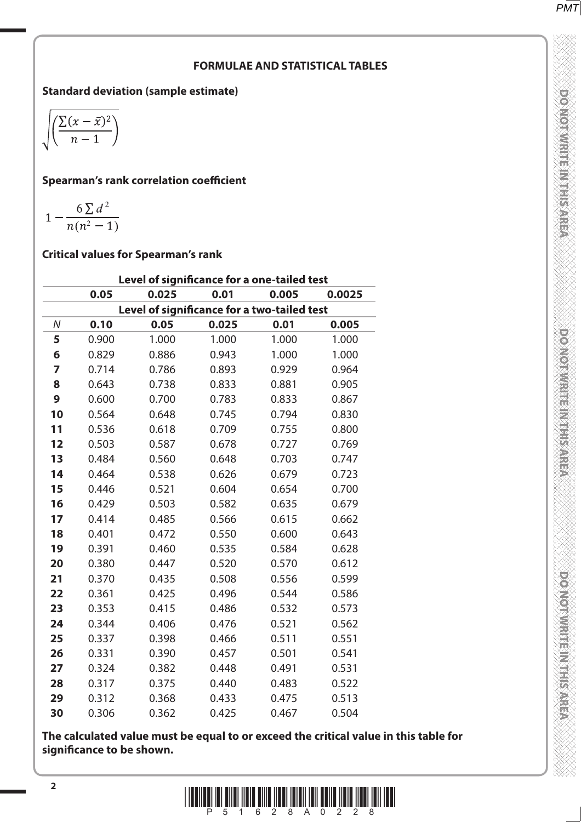**DONOTWRITEINMENTSAREM** 

**DOMORWRITEIN NEEDS AREA** 

**DONORWRITESMSELSARER** 

#### **FORMULAE AND STATISTICAL TABLES**

# **Standard deviation (sample estimate)**

$$
\sqrt{\left(\frac{\sum (x-\bar{x})^2}{n-1}\right)}
$$

**Spearman's rank correlation coefficient**

$$
1-\frac{6\sum d^2}{n(n^2-1)}
$$

# **Critical values for Spearman's rank**

|    |       | Level of significance for a one-tailed test |       |       |        |
|----|-------|---------------------------------------------|-------|-------|--------|
|    | 0.05  | 0.025                                       | 0.01  | 0.005 | 0.0025 |
|    |       | Level of significance for a two-tailed test |       |       |        |
| N  | 0.10  | 0.05                                        | 0.025 | 0.01  | 0.005  |
| 5  | 0.900 | 1.000                                       | 1.000 | 1.000 | 1.000  |
| 6  | 0.829 | 0.886                                       | 0.943 | 1.000 | 1.000  |
| 7  | 0.714 | 0.786                                       | 0.893 | 0.929 | 0.964  |
| 8  | 0.643 | 0.738                                       | 0.833 | 0.881 | 0.905  |
| 9  | 0.600 | 0.700                                       | 0.783 | 0.833 | 0.867  |
| 10 | 0.564 | 0.648                                       | 0.745 | 0.794 | 0.830  |
| 11 | 0.536 | 0.618                                       | 0.709 | 0.755 | 0.800  |
| 12 | 0.503 | 0.587                                       | 0.678 | 0.727 | 0.769  |
| 13 | 0.484 | 0.560                                       | 0.648 | 0.703 | 0.747  |
| 14 | 0.464 | 0.538                                       | 0.626 | 0.679 | 0.723  |
| 15 | 0.446 | 0.521                                       | 0.604 | 0.654 | 0.700  |
| 16 | 0.429 | 0.503                                       | 0.582 | 0.635 | 0.679  |
| 17 | 0.414 | 0.485                                       | 0.566 | 0.615 | 0.662  |
| 18 | 0.401 | 0.472                                       | 0.550 | 0.600 | 0.643  |
| 19 | 0.391 | 0.460                                       | 0.535 | 0.584 | 0.628  |
| 20 | 0.380 | 0.447                                       | 0.520 | 0.570 | 0.612  |
| 21 | 0.370 | 0.435                                       | 0.508 | 0.556 | 0.599  |
| 22 | 0.361 | 0.425                                       | 0.496 | 0.544 | 0.586  |
| 23 | 0.353 | 0.415                                       | 0.486 | 0.532 | 0.573  |
| 24 | 0.344 | 0.406                                       | 0.476 | 0.521 | 0.562  |
| 25 | 0.337 | 0.398                                       | 0.466 | 0.511 | 0.551  |
| 26 | 0.331 | 0.390                                       | 0.457 | 0.501 | 0.541  |
| 27 | 0.324 | 0.382                                       | 0.448 | 0.491 | 0.531  |
| 28 | 0.317 | 0.375                                       | 0.440 | 0.483 | 0.522  |
| 29 | 0.312 | 0.368                                       | 0.433 | 0.475 | 0.513  |
| 30 | 0.306 | 0.362                                       | 0.425 | 0.467 | 0.504  |

**The calculated value must be equal to or exceed the critical value in this table for significance to be shown.**

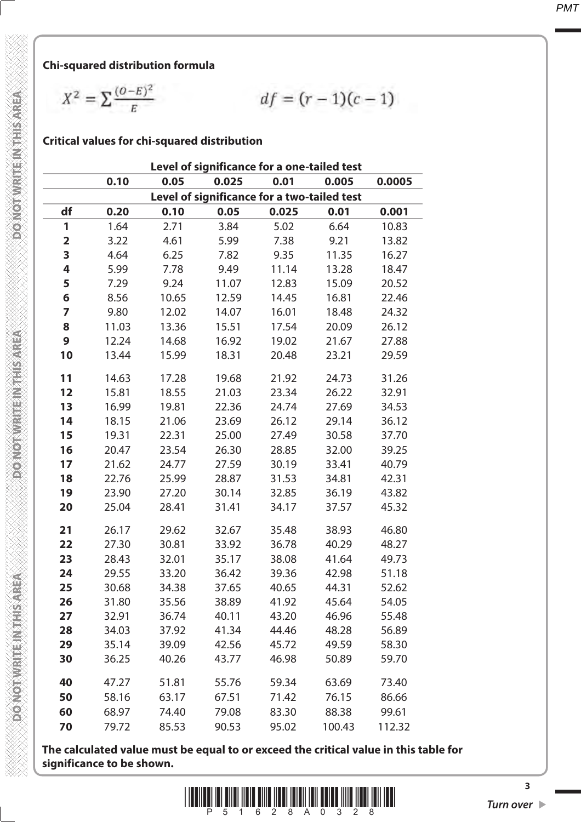**Chi-squared distribution formula**

**DO NOT WRITEIN THIS AREA** 

**DO NOTWRITE IN THIS AREA** 

**DO NOT WRITE IN THIS AREA** 

$$
X^2 = \sum \frac{(o - E)^2}{E} \qquad df = (r - 1)(c - 1)
$$

**Critical values for chi-squared distribution**

|                         |       |       |       | Level of significance for a one-tailed test |        |        |
|-------------------------|-------|-------|-------|---------------------------------------------|--------|--------|
|                         | 0.10  | 0.05  | 0.025 | 0.01                                        | 0.005  | 0.0005 |
|                         |       |       |       | Level of significance for a two-tailed test |        |        |
| df                      | 0.20  | 0.10  | 0.05  | 0.025                                       | 0.01   | 0.001  |
| 1                       | 1.64  | 2.71  | 3.84  | 5.02                                        | 6.64   | 10.83  |
| $\overline{\mathbf{2}}$ | 3.22  | 4.61  | 5.99  | 7.38                                        | 9.21   | 13.82  |
| 3                       | 4.64  | 6.25  | 7.82  | 9.35                                        | 11.35  | 16.27  |
| 4                       | 5.99  | 7.78  | 9.49  | 11.14                                       | 13.28  | 18.47  |
| 5                       | 7.29  | 9.24  | 11.07 | 12.83                                       | 15.09  | 20.52  |
| 6                       | 8.56  | 10.65 | 12.59 | 14.45                                       | 16.81  | 22.46  |
| 7                       | 9.80  | 12.02 | 14.07 | 16.01                                       | 18.48  | 24.32  |
| 8                       | 11.03 | 13.36 | 15.51 | 17.54                                       | 20.09  | 26.12  |
| 9                       | 12.24 | 14.68 | 16.92 | 19.02                                       | 21.67  | 27.88  |
| 10                      | 13.44 | 15.99 | 18.31 | 20.48                                       | 23.21  | 29.59  |
| 11                      | 14.63 | 17.28 | 19.68 | 21.92                                       | 24.73  | 31.26  |
| 12                      | 15.81 | 18.55 | 21.03 | 23.34                                       | 26.22  | 32.91  |
| 13                      | 16.99 | 19.81 | 22.36 | 24.74                                       | 27.69  | 34.53  |
| 14                      | 18.15 | 21.06 | 23.69 | 26.12                                       | 29.14  | 36.12  |
| 15                      | 19.31 | 22.31 | 25.00 | 27.49                                       | 30.58  | 37.70  |
| 16                      | 20.47 | 23.54 | 26.30 | 28.85                                       | 32.00  | 39.25  |
| 17                      | 21.62 | 24.77 | 27.59 | 30.19                                       | 33.41  | 40.79  |
| 18                      | 22.76 | 25.99 | 28.87 | 31.53                                       | 34.81  | 42.31  |
| 19                      | 23.90 | 27.20 | 30.14 | 32.85                                       | 36.19  | 43.82  |
| 20                      | 25.04 | 28.41 | 31.41 | 34.17                                       | 37.57  | 45.32  |
| 21                      | 26.17 | 29.62 | 32.67 | 35.48                                       | 38.93  | 46.80  |
| 22                      | 27.30 | 30.81 | 33.92 | 36.78                                       | 40.29  | 48.27  |
| 23                      | 28.43 | 32.01 | 35.17 | 38.08                                       | 41.64  | 49.73  |
| 24                      | 29.55 | 33.20 | 36.42 | 39.36                                       | 42.98  | 51.18  |
| 25                      | 30.68 | 34.38 | 37.65 | 40.65                                       | 44.31  | 52.62  |
| 26                      | 31.80 | 35.56 | 38.89 | 41.92                                       | 45.64  | 54.05  |
| 27                      | 32.91 | 36.74 | 40.11 | 43.20                                       | 46.96  | 55.48  |
| 28                      | 34.03 | 37.92 | 41.34 | 44.46                                       | 48.28  | 56.89  |
| 29                      | 35.14 | 39.09 | 42.56 | 45.72                                       | 49.59  | 58.30  |
| 30                      | 36.25 | 40.26 | 43.77 | 46.98                                       | 50.89  | 59.70  |
| 40                      | 47.27 | 51.81 | 55.76 | 59.34                                       | 63.69  | 73.40  |
| 50                      | 58.16 | 63.17 | 67.51 | 71.42                                       | 76.15  | 86.66  |
| 60                      | 68.97 | 74.40 | 79.08 | 83.30                                       | 88.38  | 99.61  |
| 70                      | 79.72 | 85.53 | 90.53 | 95.02                                       | 100.43 | 112.32 |

**The calculated value must be equal to or exceed the critical value in this table for significance to be shown.**

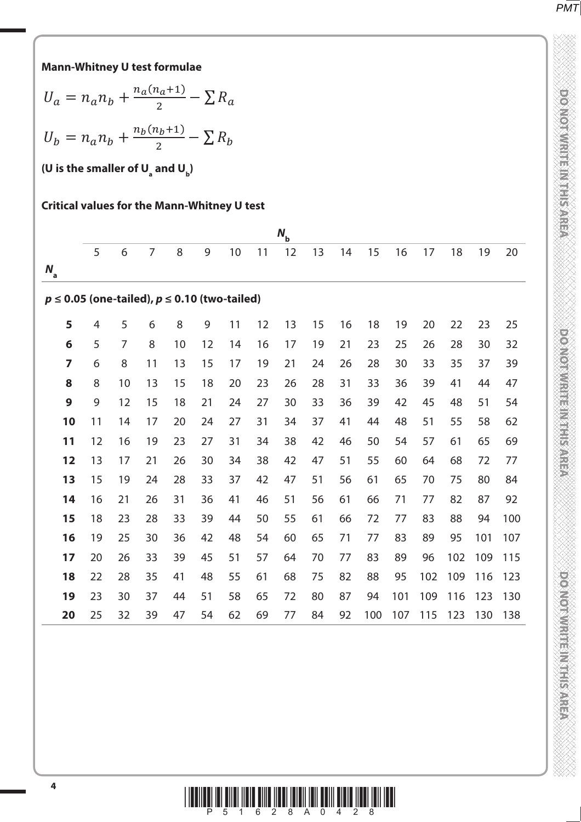DONOTWRITEINTHIS AREA

**DOWOTHING HEATHER** 

**DONO MISSING INSTITUTION** 

#### **Mann-Whitney U test formulae**

$$
U_a = n_a n_b + \frac{n_a(n_a+1)}{2} - \sum R_a
$$
  

$$
U_b = n_a n_b + \frac{n_b(n_b+1)}{2} - \sum R_b
$$

(U is the smaller of U<sub>a</sub> and U<sub>b</sub>)

## **Critical values for the Mann-Whitney U test**

|                                                      |                |                |                |    |    |    |    | $N_{\rm b}$ |    |    |     |     |     |     |     |     |
|------------------------------------------------------|----------------|----------------|----------------|----|----|----|----|-------------|----|----|-----|-----|-----|-----|-----|-----|
|                                                      | 5              | 6              | $\overline{7}$ | 8  | 9  | 10 | 11 | 12          | 13 | 14 | 15  | 16  | 17  | 18  | 19  | 20  |
| $N_{\rm a}$                                          |                |                |                |    |    |    |    |             |    |    |     |     |     |     |     |     |
| $p \le 0.05$ (one-tailed), $p \le 0.10$ (two-tailed) |                |                |                |    |    |    |    |             |    |    |     |     |     |     |     |     |
| 5                                                    | $\overline{4}$ | 5              | 6              | 8  | 9  | 11 | 12 | 13          | 15 | 16 | 18  | 19  | 20  | 22  | 23  | 25  |
| 6                                                    | 5              | $\overline{7}$ | 8              | 10 | 12 | 14 | 16 | 17          | 19 | 21 | 23  | 25  | 26  | 28  | 30  | 32  |
| $\overline{7}$                                       | 6              | 8              | 11             | 13 | 15 | 17 | 19 | 21          | 24 | 26 | 28  | 30  | 33  | 35  | 37  | 39  |
| 8                                                    | 8              | 10             | 13             | 15 | 18 | 20 | 23 | 26          | 28 | 31 | 33  | 36  | 39  | 41  | 44  | 47  |
| 9                                                    | 9              | 12             | 15             | 18 | 21 | 24 | 27 | 30          | 33 | 36 | 39  | 42  | 45  | 48  | 51  | 54  |
| 10                                                   | 11             | 14             | 17             | 20 | 24 | 27 | 31 | 34          | 37 | 41 | 44  | 48  | 51  | 55  | 58  | 62  |
| 11                                                   | 12             | 16             | 19             | 23 | 27 | 31 | 34 | 38          | 42 | 46 | 50  | 54  | 57  | 61  | 65  | 69  |
| 12                                                   | 13             | 17             | 21             | 26 | 30 | 34 | 38 | 42          | 47 | 51 | 55  | 60  | 64  | 68  | 72  | 77  |
| 13                                                   | 15             | 19             | 24             | 28 | 33 | 37 | 42 | 47          | 51 | 56 | 61  | 65  | 70  | 75  | 80  | 84  |
| 14                                                   | 16             | 21             | 26             | 31 | 36 | 41 | 46 | 51          | 56 | 61 | 66  | 71  | 77  | 82  | 87  | 92  |
| 15                                                   | 18             | 23             | 28             | 33 | 39 | 44 | 50 | 55          | 61 | 66 | 72  | 77  | 83  | 88  | 94  | 100 |
| 16                                                   | 19             | 25             | 30             | 36 | 42 | 48 | 54 | 60          | 65 | 71 | 77  | 83  | 89  | 95  | 101 | 107 |
| 17                                                   | 20             | 26             | 33             | 39 | 45 | 51 | 57 | 64          | 70 | 77 | 83  | 89  | 96  | 102 | 109 | 115 |
| 18                                                   | 22             | 28             | 35             | 41 | 48 | 55 | 61 | 68          | 75 | 82 | 88  | 95  | 102 | 109 | 116 | 123 |
| 19                                                   | 23             | 30             | 37             | 44 | 51 | 58 | 65 | 72          | 80 | 87 | 94  | 101 | 109 | 116 | 123 | 130 |
| 20                                                   | 25             | 32             | 39             | 47 | 54 | 62 | 69 | 77          | 84 | 92 | 100 | 107 | 115 | 123 | 130 | 138 |

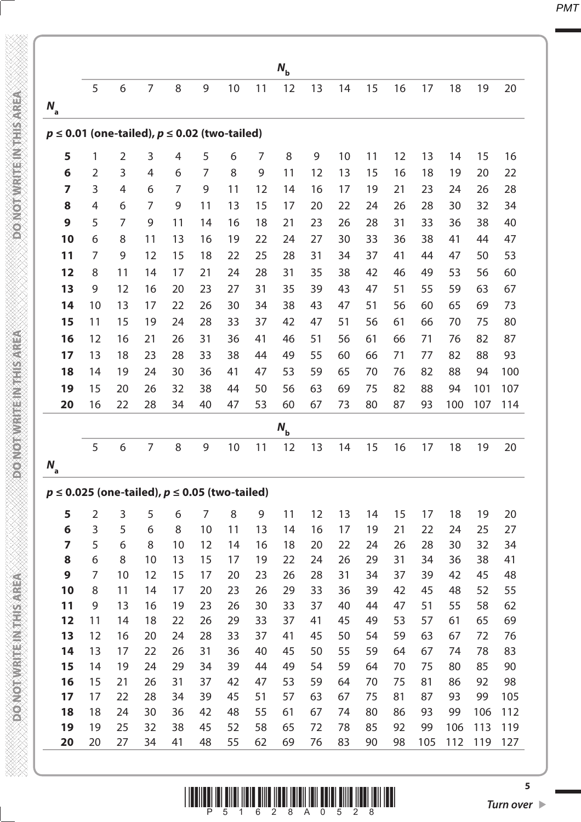|                                                       |                |                |                |          |          |          |          | $N_{\rm b}$ |          |          |          |          |          |          |          |          |
|-------------------------------------------------------|----------------|----------------|----------------|----------|----------|----------|----------|-------------|----------|----------|----------|----------|----------|----------|----------|----------|
|                                                       | 5              | 6              | $\overline{7}$ | 8        | 9        | 10       | 11       | 12          | 13       | 14       | 15       | 16       | 17       | 18       | 19       | 20       |
| $N_{\rm a}$                                           |                |                |                |          |          |          |          |             |          |          |          |          |          |          |          |          |
|                                                       |                |                |                |          |          |          |          |             |          |          |          |          |          |          |          |          |
| $p \le 0.01$ (one-tailed), $p \le 0.02$ (two-tailed)  |                |                |                |          |          |          |          |             |          |          |          |          |          |          |          |          |
| 5                                                     | 1              | $\overline{2}$ | 3              | 4        | 5        | 6        | 7        | 8           | 9        | 10       | 11       | 12       | 13       | 14       | 15       | 16       |
| 6                                                     | $\overline{2}$ | 3              | $\overline{4}$ | 6        | 7        | 8        | 9        | 11          | 12       | 13       | 15       | 16       | 18       | 19       | 20       | 22       |
| 7                                                     | 3              | $\overline{4}$ | 6              | 7        | 9        | 11       | 12       | 14          | 16       | 17       | 19       | 21       | 23       | 24       | 26       | 28       |
| 8                                                     | $\overline{4}$ | 6              | $\overline{7}$ | 9        | 11       | 13       | 15       | 17          | 20       | 22       | 24       | 26       | 28       | 30       | 32       | 34       |
| 9                                                     | 5              | $\overline{7}$ | 9              | 11       | 14       | 16       | 18       | 21          | 23       | 26       | 28       | 31       | 33       | 36       | 38       | 40       |
| 10<br>11                                              | 6<br>7         | 8<br>9         | 11             | 13       | 16       | 19<br>22 | 22<br>25 | 24          | 27       | 30       | 33<br>37 | 36<br>41 | 38<br>44 | 41       | 44       | 47<br>53 |
| 12                                                    | 8              | 11             | 12<br>14       | 15<br>17 | 18<br>21 | 24       | 28       | 28<br>31    | 31<br>35 | 34<br>38 | 42       | 46       | 49       | 47<br>53 | 50<br>56 | 60       |
| 13                                                    | 9              | 12             | 16             | 20       | 23       | 27       | 31       | 35          | 39       | 43       | 47       | 51       | 55       | 59       | 63       | 67       |
| 14                                                    | 10             | 13             | 17             | 22       | 26       | 30       | 34       | 38          | 43       | 47       | 51       | 56       | 60       | 65       | 69       | 73       |
| 15                                                    | 11             | 15             | 19             | 24       | 28       | 33       | 37       | 42          | 47       | 51       | 56       | 61       | 66       | 70       | 75       | 80       |
| 16                                                    | 12             | 16             | 21             | 26       | 31       | 36       | 41       | 46          | 51       | 56       | 61       | 66       | 71       | 76       | 82       | 87       |
| 17                                                    | 13             | 18             | 23             | 28       | 33       | 38       | 44       | 49          | 55       | 60       | 66       | 71       | 77       | 82       | 88       | 93       |
| 18                                                    | 14             | 19             | 24             | 30       | 36       | 41       | 47       | 53          | 59       | 65       | 70       | 76       | 82       | 88       | 94       | 100      |
| 19                                                    | 15             | 20             | 26             | 32       | 38       | 44       | 50       | 56          | 63       | 69       | 75       | 82       | 88       | 94       | 101      | 107      |
| 20                                                    | 16             | 22             | 28             | 34       | 40       | 47       | 53       | 60          | 67       | 73       | 80       | 87       | 93       | 100      | 107      | 114      |
|                                                       |                |                |                |          |          |          |          | $N_{\rm b}$ |          |          |          |          |          |          |          |          |
|                                                       | 5              | 6              | $\overline{7}$ | 8        | 9        | 10       | 11       | 12          | 13       | 14       | 15       | 16       | 17       | 18       | 19       | 20       |
| Ν<br>a                                                |                |                |                |          |          |          |          |             |          |          |          |          |          |          |          |          |
| $p \le 0.025$ (one-tailed), $p \le 0.05$ (two-tailed) |                |                |                |          |          |          |          |             |          |          |          |          |          |          |          |          |
| 5                                                     | $\overline{2}$ | 3              | 5              | 6        | 7        | 8        | 9        | 11          | 12       | 13       | 14       | 15       | 17       | 18       | 19       | 20       |
| 6                                                     | 3              | 5              | 6              | 8        | 10       | 11       | 13       | 14          | 16       | 17       | 19       | 21       | 22       | 24       | 25       | 27       |
| 7                                                     | 5              | 6              | 8              | 10       | 12       | 14       | 16       | 18          | 20       | 22       | 24       | 26       | 28       | 30       | 32       | 34       |
| 8                                                     | 6              | 8              | 10             | 13       | 15       | 17       | 19       | 22          | 24       | 26       | 29       | 31       | 34       | 36       | 38       | 41       |
| 9                                                     | $\overline{7}$ | 10             | 12             | 15       | 17       | 20       | 23       | 26          | 28       | 31       | 34       | 37       | 39       | 42       | 45       | 48       |
| 10                                                    | 8              | 11             | 14             | 17       | 20       | 23       | 26       | 29          | 33       | 36       | 39       | 42       | 45       | 48       | 52       | 55       |
| 11<br>12                                              | 9<br>11        | 13<br>14       | 16<br>18       | 19<br>22 | 23<br>26 | 26<br>29 | 30<br>33 | 33<br>37    | 37<br>41 | 40<br>45 | 44<br>49 | 47<br>53 | 51<br>57 | 55<br>61 | 58<br>65 | 62<br>69 |
| 13                                                    | 12             | 16             | 20             | 24       | 28       | 33       | 37       | 41          | 45       | 50       | 54       | 59       | 63       | 67       | 72       | 76       |
| 14                                                    | 13             | 17             | 22             | 26       | 31       | 36       | 40       | 45          | 50       | 55       | 59       | 64       | 67       | 74       | 78       | 83       |
| 15                                                    | 14             | 19             | 24             | 29       | 34       | 39       | 44       | 49          | 54       | 59       | 64       | 70       | 75       | 80       | 85       | 90       |
| 16                                                    | 15             | 21             | 26             | 31       | 37       | 42       | 47       | 53          | 59       | 64       | 70       | 75       | 81       | 86       | 92       | 98       |
| 17                                                    | 17             | 22             | 28             | 34       | 39       | 45       | 51       | 57          | 63       | 67       | 75       | 81       | 87       | 93       | 99       | 105      |
| 18                                                    | 18             | 24             | 30             | 36       | 42       | 48       | 55       | 61          | 67       | 74       | 80       | 86       | 93       | 99       | 106      | 112      |
| 19                                                    | 19             | 25             | 32             | 38       | 45       | 52       | 58       | 65          | 72       | 78       | 85       | 92       | 99       | 106      | 113      | 119      |
| 20                                                    | 20             | 27             | 34             | 41       | 48       | 55       | 62       | 69          | 76       | 83       | 90       | 98       | 105      | 112      | 119      | 127      |

**DONOTWRITEIN THIS AREA** 

**DONOTWRITE INTHIS AREA** 

**PONOTWATENVTHSAREA** 

\*P51628A0528\* *Turn over*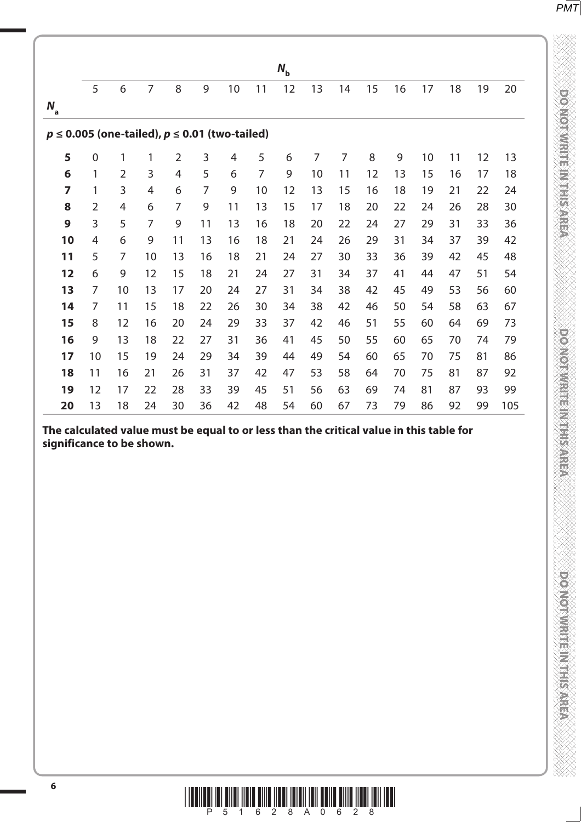**DONOTWRITEINTHIS AREA** 

**DOOKOONREHEINTER REEP** 

DONOTWORK STATES

|                                                       |                |                |                |                |                |    |                | $N_{\rm b}$ |                |    |    |    |    |    |    |     |
|-------------------------------------------------------|----------------|----------------|----------------|----------------|----------------|----|----------------|-------------|----------------|----|----|----|----|----|----|-----|
|                                                       | 5              | 6              | $\overline{7}$ | 8              | 9              | 10 | 11             | 12          | 13             | 14 | 15 | 16 | 17 | 18 | 19 | 20  |
| $N_{\rm a}$                                           |                |                |                |                |                |    |                |             |                |    |    |    |    |    |    |     |
| $p \le 0.005$ (one-tailed), $p \le 0.01$ (two-tailed) |                |                |                |                |                |    |                |             |                |    |    |    |    |    |    |     |
| 5                                                     | $\mathbf 0$    | 1              | 1              | $\overline{2}$ | 3              | 4  | 5              | 6           | $\overline{7}$ | 7  | 8  | 9  | 10 | 11 | 12 | 13  |
| 6                                                     | 1              | $\overline{2}$ | 3              | 4              | 5              | 6  | $\overline{7}$ | 9           | 10             | 11 | 12 | 13 | 15 | 16 | 17 | 18  |
| $\overline{7}$                                        | 1              | $\overline{3}$ | $\overline{4}$ | 6              | $\overline{7}$ | 9  | 10             | 12          | 13             | 15 | 16 | 18 | 19 | 21 | 22 | 24  |
| 8                                                     | $\overline{2}$ | $\overline{4}$ | 6              | $\overline{7}$ | 9              | 11 | 13             | 15          | 17             | 18 | 20 | 22 | 24 | 26 | 28 | 30  |
| 9                                                     | 3              | 5              | $\overline{7}$ | 9              | 11             | 13 | 16             | 18          | 20             | 22 | 24 | 27 | 29 | 31 | 33 | 36  |
| 10                                                    | $\overline{4}$ | 6              | 9              | 11             | 13             | 16 | 18             | 21          | 24             | 26 | 29 | 31 | 34 | 37 | 39 | 42  |
| 11                                                    | 5              | 7              | 10             | 13             | 16             | 18 | 21             | 24          | 27             | 30 | 33 | 36 | 39 | 42 | 45 | 48  |
| 12                                                    | 6              | 9              | 12             | 15             | 18             | 21 | 24             | 27          | 31             | 34 | 37 | 41 | 44 | 47 | 51 | 54  |
| 13                                                    | $\overline{7}$ | 10             | 13             | 17             | 20             | 24 | 27             | 31          | 34             | 38 | 42 | 45 | 49 | 53 | 56 | 60  |
| 14                                                    | 7              | 11             | 15             | 18             | 22             | 26 | 30             | 34          | 38             | 42 | 46 | 50 | 54 | 58 | 63 | 67  |
| 15                                                    | 8              | 12             | 16             | 20             | 24             | 29 | 33             | 37          | 42             | 46 | 51 | 55 | 60 | 64 | 69 | 73  |
| 16                                                    | 9              | 13             | 18             | 22             | 27             | 31 | 36             | 41          | 45             | 50 | 55 | 60 | 65 | 70 | 74 | 79  |
| 17                                                    | 10             | 15             | 19             | 24             | 29             | 34 | 39             | 44          | 49             | 54 | 60 | 65 | 70 | 75 | 81 | 86  |
| 18                                                    | 11             | 16             | 21             | 26             | 31             | 37 | 42             | 47          | 53             | 58 | 64 | 70 | 75 | 81 | 87 | 92  |
| 19                                                    | 12             | 17             | 22             | 28             | 33             | 39 | 45             | 51          | 56             | 63 | 69 | 74 | 81 | 87 | 93 | 99  |
| 20                                                    | 13             | 18             | 24             | 30             | 36             | 42 | 48             | 54          | 60             | 67 | 73 | 79 | 86 | 92 | 99 | 105 |

**The calculated value must be equal to or less than the critical value in this table for significance to be shown.**

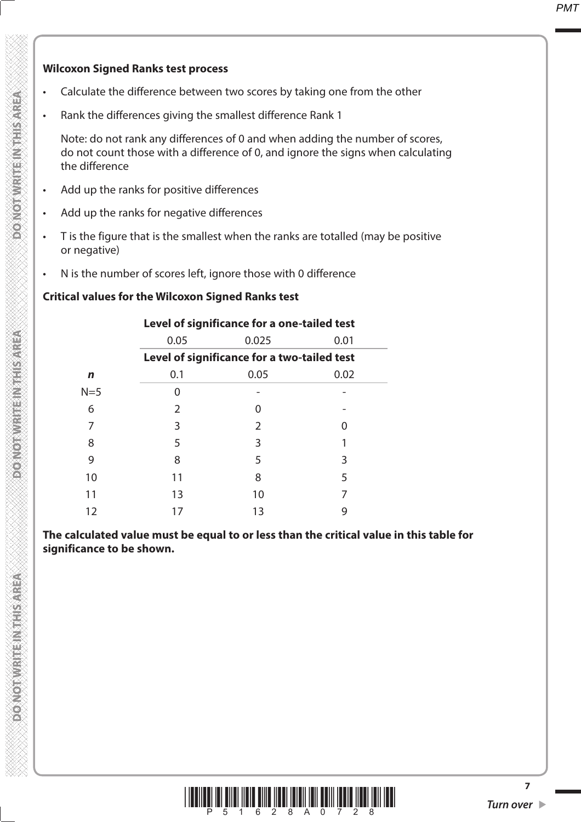## **Wilcoxon Signed Ranks test process**

- Calculate the difference between two scores by taking one from the other
- Rank the differences giving the smallest difference Rank 1

 Note: do not rank any differences of 0 and when adding the number of scores, do not count those with a difference of 0, and ignore the signs when calculating the difference

- Add up the ranks for positive differences
- Add up the ranks for negative differences
- T is the figure that is the smallest when the ranks are totalled (may be positive or negative)
- N is the number of scores left, ignore those with 0 difference

# **Critical values for the Wilcoxon Signed Ranks test**

|       |      | Level of significance for a one-tailed test |      |
|-------|------|---------------------------------------------|------|
|       | 0.05 | 0.025                                       | 0.01 |
|       |      | Level of significance for a two-tailed test |      |
| n     | 0.1  | 0.05                                        | 0.02 |
| $N=5$ | ი    |                                             |      |
| 6     | 2    |                                             |      |
|       | 3    | 2                                           |      |
| 8     | 5    | 3                                           |      |
| 9     | 8    | 5                                           | 3    |
| 10    | 11   | 8                                           | 5    |
| 11    | 13   | 10                                          | 7    |
| 12    | 17   | 13                                          | g    |

**The calculated value must be equal to or less than the critical value in this table for significance to be shown.** 



**ASSINGT MATERIARTS AREA**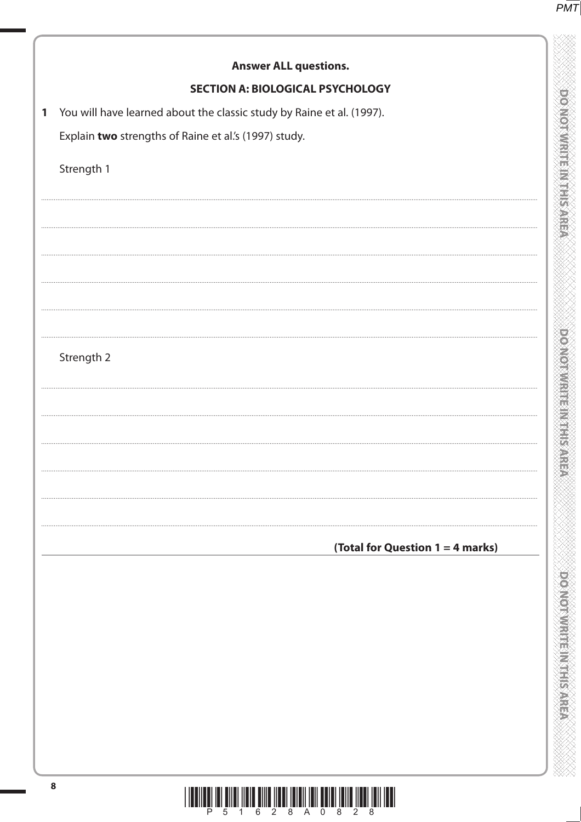|              | <b>Answer ALL questions.</b>                                          |
|--------------|-----------------------------------------------------------------------|
|              | <b>SECTION A: BIOLOGICAL PSYCHOLOGY</b>                               |
| $\mathbf{1}$ | You will have learned about the classic study by Raine et al. (1997). |
|              | Explain two strengths of Raine et al's (1997) study.                  |
|              | Strength 1                                                            |
|              |                                                                       |
|              |                                                                       |
|              |                                                                       |
|              |                                                                       |
|              |                                                                       |
|              |                                                                       |
|              |                                                                       |
|              | Strength 2                                                            |
|              |                                                                       |
|              |                                                                       |
|              |                                                                       |
|              |                                                                       |
|              |                                                                       |
|              |                                                                       |
|              | (Total for Question 1 = 4 marks)                                      |
|              |                                                                       |
|              |                                                                       |
|              |                                                                       |
|              |                                                                       |
|              |                                                                       |
|              |                                                                       |
|              |                                                                       |
|              |                                                                       |
|              |                                                                       |

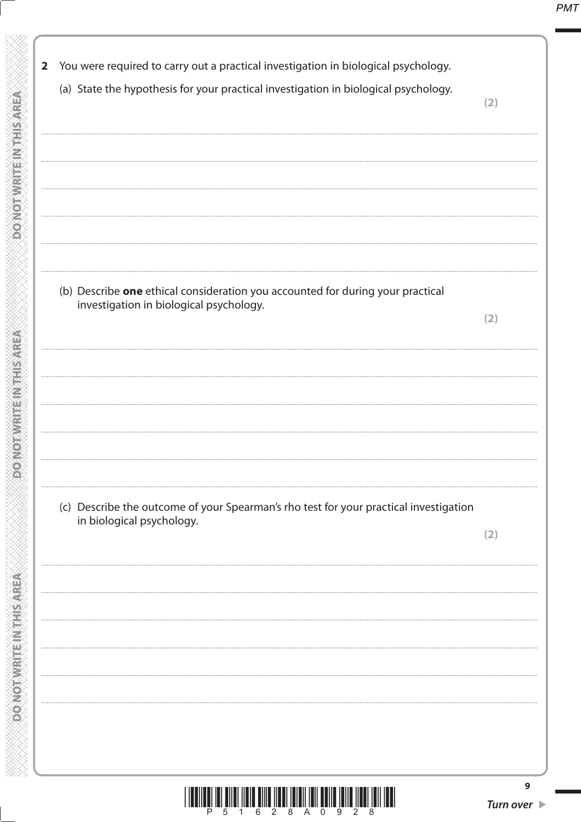| You were required to carry out a practical investigation in biological psychology.<br>(a) State the hypothesis for your practical investigation in biological psychology. |     |
|---------------------------------------------------------------------------------------------------------------------------------------------------------------------------|-----|
|                                                                                                                                                                           | (2) |
|                                                                                                                                                                           |     |
|                                                                                                                                                                           |     |
|                                                                                                                                                                           |     |
|                                                                                                                                                                           |     |
|                                                                                                                                                                           |     |
| (b) Describe one ethical consideration you accounted for during your practical                                                                                            |     |
| investigation in biological psychology.                                                                                                                                   | (2) |
|                                                                                                                                                                           |     |
|                                                                                                                                                                           |     |
|                                                                                                                                                                           |     |
|                                                                                                                                                                           |     |
|                                                                                                                                                                           |     |
| (c) Describe the outcome of your Spearman's rho test for your practical investigation                                                                                     |     |
| in biological psychology.                                                                                                                                                 | (2) |
|                                                                                                                                                                           |     |
|                                                                                                                                                                           |     |
|                                                                                                                                                                           |     |
|                                                                                                                                                                           |     |
|                                                                                                                                                                           |     |
|                                                                                                                                                                           |     |
|                                                                                                                                                                           |     |
|                                                                                                                                                                           |     |
|                                                                                                                                                                           |     |

**DO NOT WRITE IN THIS AREA** 

**ACRAMENTE IN THE ON GO** 

**DO NOT WRITE IN THIS AREA**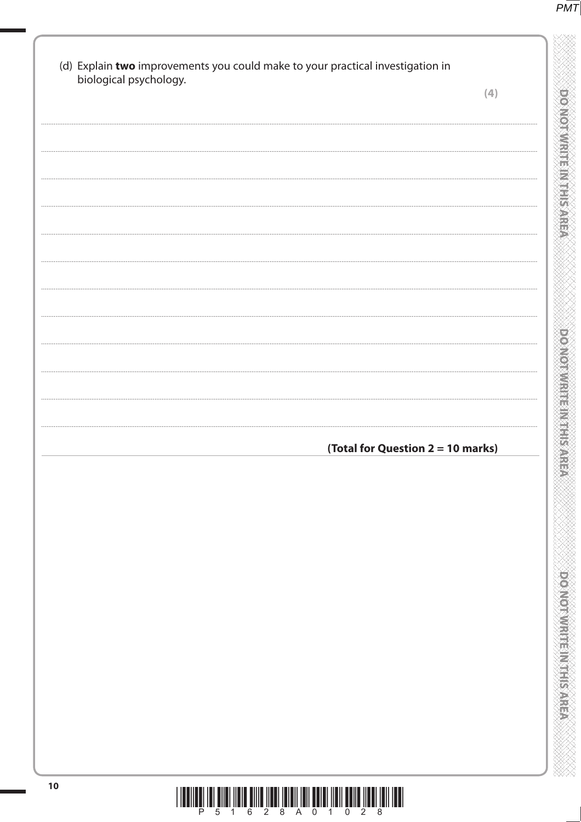|--|

| biological psychology. |                                   | (4) |
|------------------------|-----------------------------------|-----|
|                        |                                   |     |
|                        |                                   |     |
|                        |                                   |     |
|                        |                                   |     |
|                        |                                   |     |
|                        |                                   |     |
|                        |                                   |     |
|                        |                                   |     |
|                        |                                   |     |
|                        |                                   |     |
|                        |                                   |     |
|                        |                                   |     |
|                        |                                   |     |
|                        |                                   |     |
|                        |                                   |     |
|                        |                                   |     |
|                        | (Total for Question 2 = 10 marks) |     |
|                        |                                   |     |
|                        |                                   |     |
|                        |                                   |     |
|                        |                                   |     |
|                        |                                   |     |
|                        |                                   |     |
|                        |                                   |     |
|                        |                                   |     |
|                        |                                   |     |
|                        |                                   |     |
|                        |                                   |     |
|                        |                                   |     |
|                        |                                   |     |
|                        |                                   |     |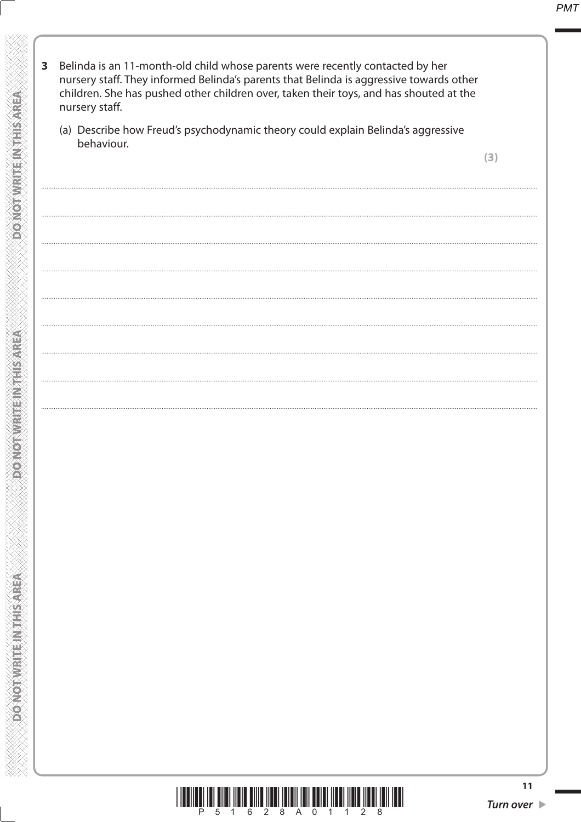| nursery staff. | children. She has pushed other children over, taken their toys, and has shouted at the | nursery staff. They informed Belinda's parents that Belinda is aggressive towards other |
|----------------|----------------------------------------------------------------------------------------|-----------------------------------------------------------------------------------------|
| behaviour.     | (a) Describe how Freud's psychodynamic theory could explain Belinda's aggressive       | (3)                                                                                     |
|                |                                                                                        |                                                                                         |
|                |                                                                                        |                                                                                         |
|                |                                                                                        |                                                                                         |
|                |                                                                                        |                                                                                         |
|                |                                                                                        |                                                                                         |
|                |                                                                                        |                                                                                         |
|                |                                                                                        |                                                                                         |
|                |                                                                                        |                                                                                         |
|                |                                                                                        |                                                                                         |
|                |                                                                                        |                                                                                         |
|                |                                                                                        |                                                                                         |
|                |                                                                                        |                                                                                         |
|                |                                                                                        |                                                                                         |
|                |                                                                                        |                                                                                         |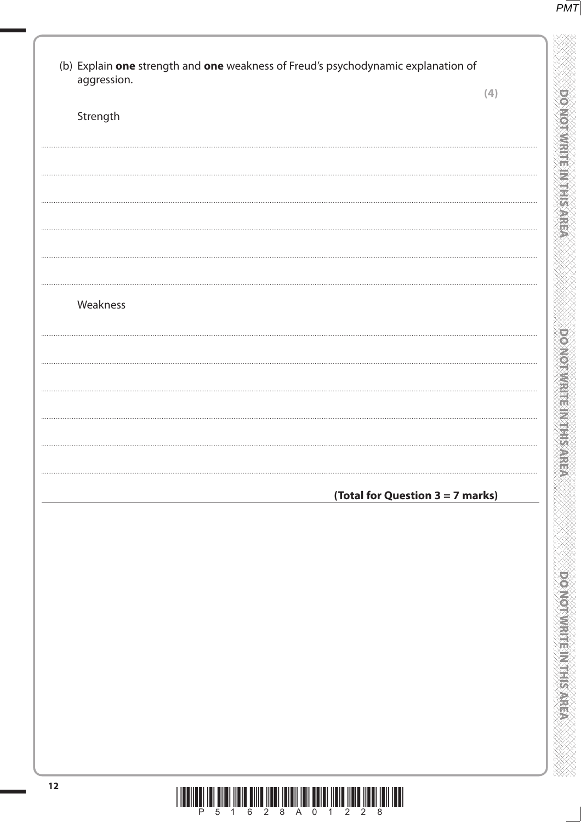| aggression.                      | (4) |
|----------------------------------|-----|
| Strength                         |     |
|                                  |     |
|                                  |     |
|                                  |     |
|                                  |     |
|                                  |     |
|                                  |     |
|                                  |     |
| Weakness                         |     |
|                                  |     |
|                                  |     |
|                                  |     |
|                                  |     |
|                                  |     |
|                                  |     |
| (Total for Question 3 = 7 marks) |     |
|                                  |     |
|                                  |     |
|                                  |     |
|                                  |     |
|                                  |     |
|                                  |     |
|                                  |     |
|                                  |     |
|                                  |     |
|                                  |     |
|                                  |     |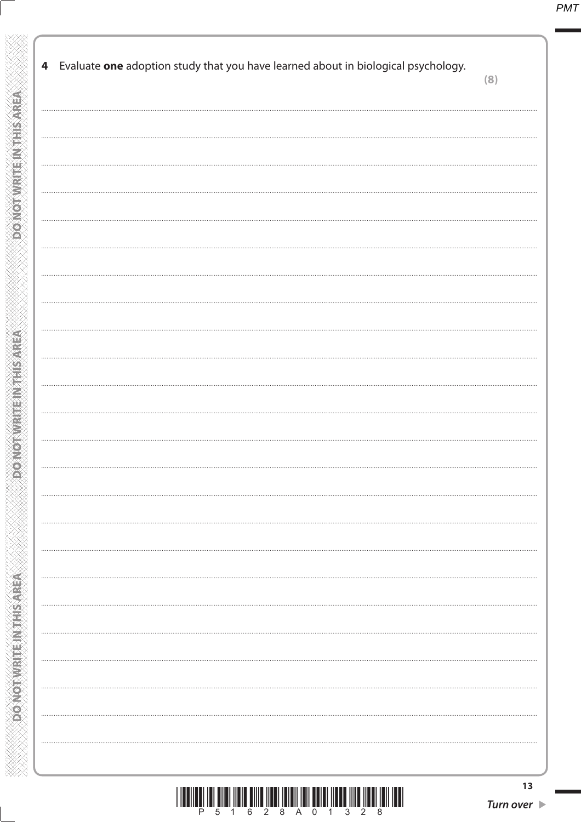|                                 | 4 Evaluate one adoption study that you have learned about in biological psychology. | (8) |
|---------------------------------|-------------------------------------------------------------------------------------|-----|
|                                 |                                                                                     |     |
| <b>VERVORALISMENT CONCO</b>     |                                                                                     |     |
|                                 |                                                                                     |     |
|                                 |                                                                                     |     |
|                                 |                                                                                     |     |
|                                 |                                                                                     |     |
|                                 |                                                                                     |     |
| <b>POSTORY IS A PROPERTY</b>    |                                                                                     |     |
|                                 |                                                                                     |     |
|                                 |                                                                                     |     |
|                                 |                                                                                     |     |
|                                 |                                                                                     |     |
|                                 |                                                                                     |     |
|                                 |                                                                                     |     |
|                                 |                                                                                     |     |
|                                 |                                                                                     |     |
| <b>REPRESENTED CONSTRUCTION</b> | <br>                                                                                |     |
|                                 |                                                                                     |     |
|                                 |                                                                                     |     |
|                                 |                                                                                     | 13  |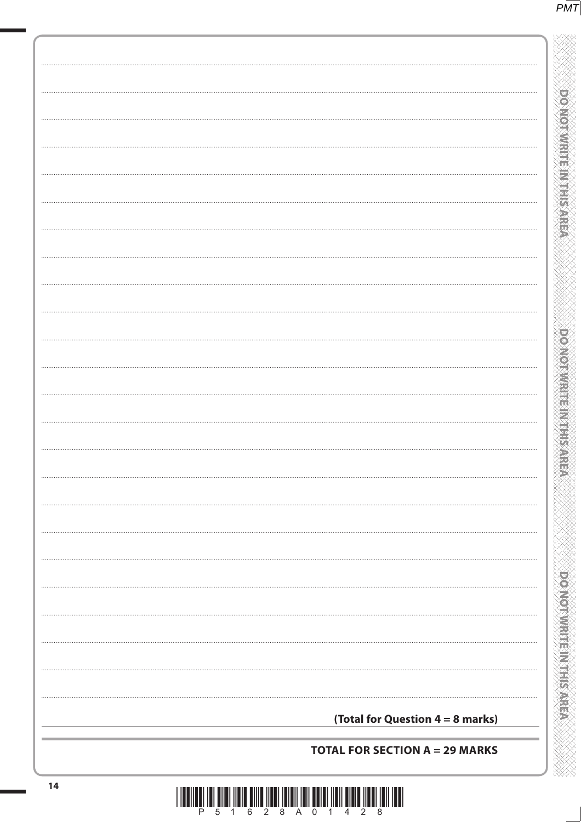| (Total for Question 4 = 8 marks) | policialisticalistical          |
|----------------------------------|---------------------------------|
|                                  |                                 |
|                                  |                                 |
|                                  |                                 |
|                                  |                                 |
|                                  | <b>CONGRESS CONSTRUCTION</b>    |
|                                  |                                 |
|                                  |                                 |
|                                  | <b>DONION MINISTER PROPERTY</b> |
| .                                |                                 |
|                                  |                                 |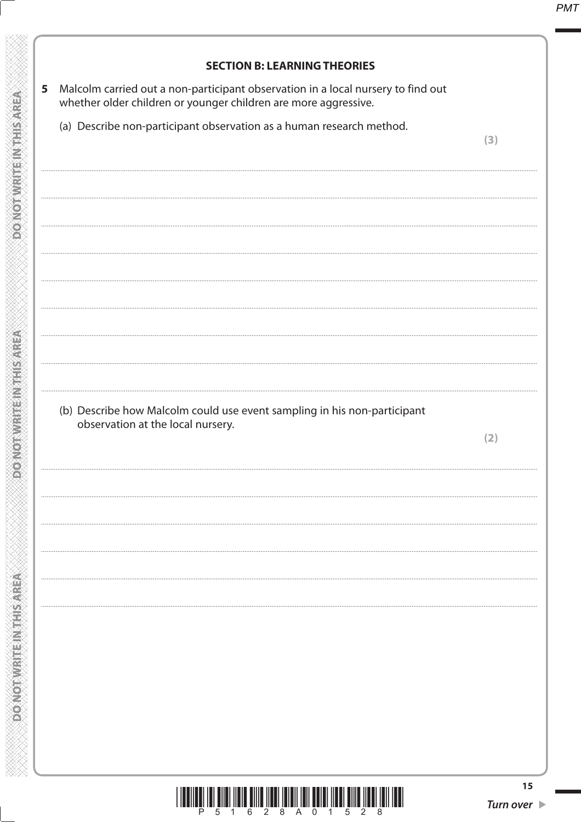| <b>SECTION B: LEARNING THEORIES</b>                                                                                                                      |     |
|----------------------------------------------------------------------------------------------------------------------------------------------------------|-----|
| Malcolm carried out a non-participant observation in a local nursery to find out<br>5<br>whether older children or younger children are more aggressive. |     |
| (a) Describe non-participant observation as a human research method.                                                                                     | (3) |
|                                                                                                                                                          |     |
|                                                                                                                                                          |     |
|                                                                                                                                                          |     |
|                                                                                                                                                          |     |
|                                                                                                                                                          |     |
|                                                                                                                                                          |     |
|                                                                                                                                                          |     |
|                                                                                                                                                          |     |
|                                                                                                                                                          |     |
| (b) Describe how Malcolm could use event sampling in his non-participant<br>observation at the local nursery.                                            |     |
|                                                                                                                                                          | (2) |
|                                                                                                                                                          |     |
|                                                                                                                                                          |     |
|                                                                                                                                                          |     |
|                                                                                                                                                          |     |
|                                                                                                                                                          |     |
|                                                                                                                                                          |     |
|                                                                                                                                                          |     |
|                                                                                                                                                          |     |
|                                                                                                                                                          |     |
|                                                                                                                                                          |     |

**DONOTWRITE INTHIS AREA** 

**DONOTWRITEINTHISAREA** 

**DO NOTWRITEINTHIS AREA**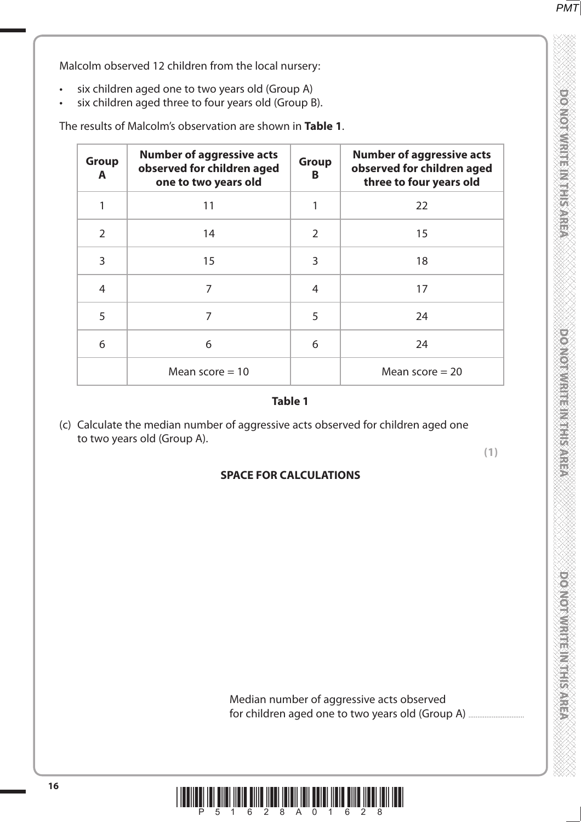Malcolm observed 12 children from the local nursery:

- six children aged one to two years old (Group A)
- six children aged three to four years old (Group B).

The results of Malcolm's observation are shown in **Table 1**.

| Group<br>A     | <b>Number of aggressive acts</b><br>observed for children aged<br>one to two years old | <b>Group</b><br>B | <b>Number of aggressive acts</b><br>observed for children aged<br>three to four years old |
|----------------|----------------------------------------------------------------------------------------|-------------------|-------------------------------------------------------------------------------------------|
|                | 11                                                                                     |                   | 22                                                                                        |
| $\overline{2}$ | 14                                                                                     | $\overline{2}$    | 15                                                                                        |
| 3              | 15                                                                                     | 3                 | 18                                                                                        |
| 4              | 7                                                                                      | 4                 | 17                                                                                        |
| 5              | 7                                                                                      | 5                 | 24                                                                                        |
| 6              | 6                                                                                      | 6                 | 24                                                                                        |
|                | Mean score $=$ 10                                                                      |                   | Mean score $= 20$                                                                         |

#### **Table 1**

 (c) Calculate the median number of aggressive acts observed for children aged one to two years old (Group A).

**(1)** 

#### **SPACE FOR CALCULATIONS**

Median number of aggressive acts observed for children aged one to two years old (Group A) ..........

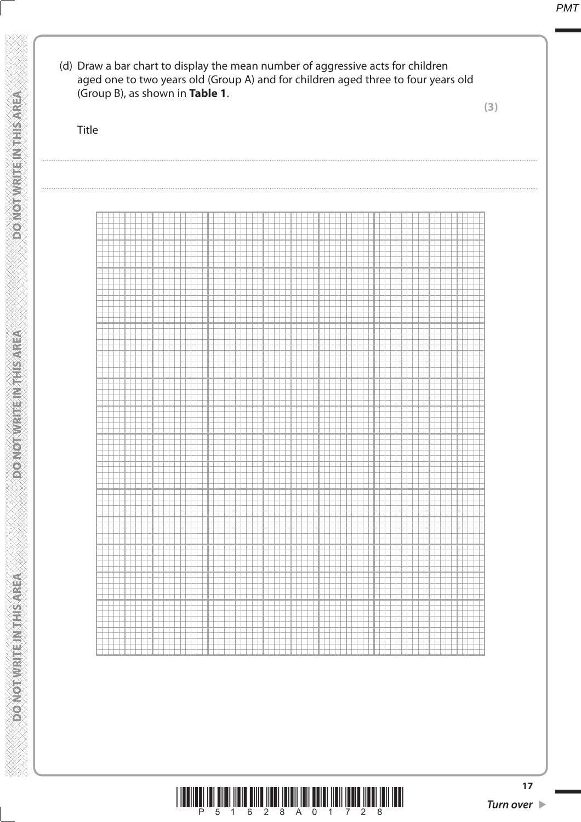



**POINOT WRITEIN THIS AREA** 

**DOATORWEIGHNEEP** 

**BONOT WRITEIN THIS AREA**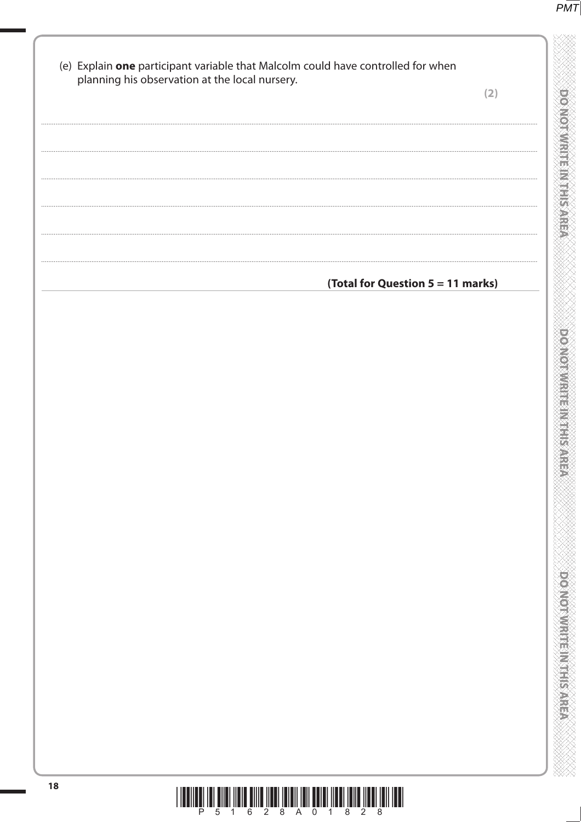| (e) Explain one participant variable that Malcolm could have controlled for when<br>planning his observation at the local nursery. |                                   |
|------------------------------------------------------------------------------------------------------------------------------------|-----------------------------------|
|                                                                                                                                    | (2)                               |
|                                                                                                                                    |                                   |
|                                                                                                                                    |                                   |
|                                                                                                                                    |                                   |
|                                                                                                                                    |                                   |
|                                                                                                                                    |                                   |
|                                                                                                                                    |                                   |
|                                                                                                                                    | (Total for Question 5 = 11 marks) |
|                                                                                                                                    |                                   |
|                                                                                                                                    |                                   |
|                                                                                                                                    |                                   |
|                                                                                                                                    |                                   |
|                                                                                                                                    |                                   |
|                                                                                                                                    |                                   |
|                                                                                                                                    |                                   |
|                                                                                                                                    |                                   |
|                                                                                                                                    |                                   |
|                                                                                                                                    |                                   |
|                                                                                                                                    |                                   |
|                                                                                                                                    |                                   |
|                                                                                                                                    |                                   |
|                                                                                                                                    |                                   |
|                                                                                                                                    |                                   |
|                                                                                                                                    |                                   |
|                                                                                                                                    |                                   |
|                                                                                                                                    |                                   |
|                                                                                                                                    |                                   |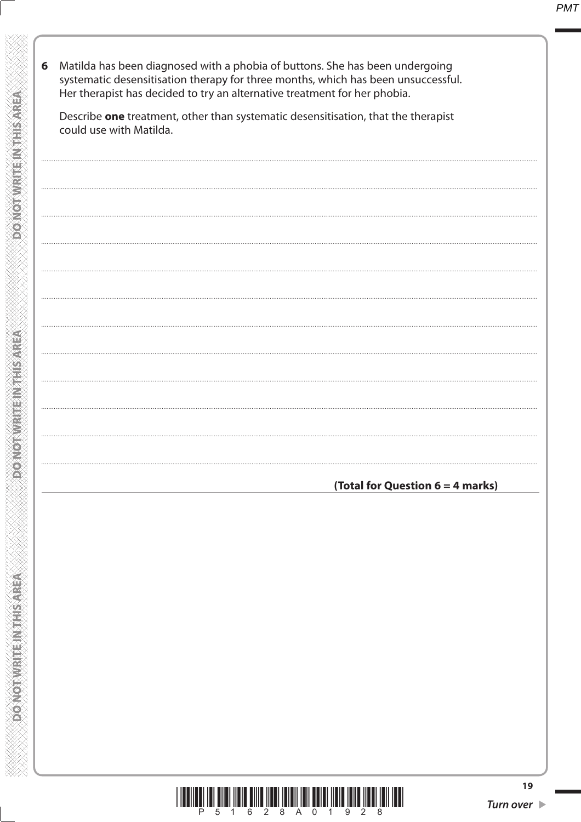| could use with Matilda. |                                  |
|-------------------------|----------------------------------|
|                         |                                  |
|                         |                                  |
|                         |                                  |
|                         |                                  |
|                         |                                  |
|                         |                                  |
|                         |                                  |
|                         |                                  |
|                         |                                  |
|                         |                                  |
|                         |                                  |
|                         | (Total for Question 6 = 4 marks) |
|                         |                                  |
|                         |                                  |
|                         |                                  |
|                         |                                  |
|                         |                                  |
|                         |                                  |
|                         |                                  |
|                         |                                  |

Matilda has been diagnosed with a phobia of buttons. She has been undergoing

Describe one treatment, other than systematic desensitisation, that the therapist

Her therapist has decided to try an alternative treatment for her phobia.

systematic desensitisation therapy for three months, which has been unsuccessful.

6

**DONOT WRITEIN THIS AREA** 

**DO NOT WRITE IN THIS AREA** 

**DO NOT WRITE IN THIS AREA** 

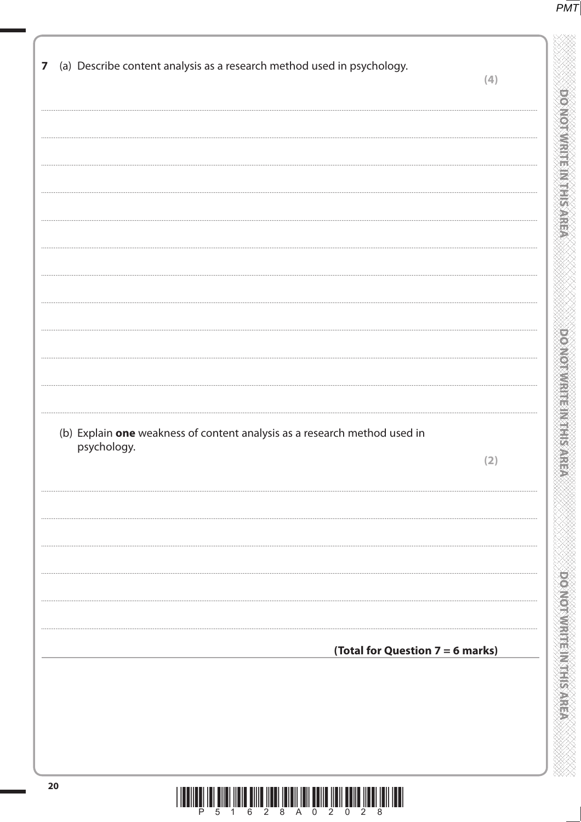|             | (a) Describe content analysis as a research method used in psychology.    | (4) |
|-------------|---------------------------------------------------------------------------|-----|
|             |                                                                           |     |
|             |                                                                           |     |
|             |                                                                           |     |
|             |                                                                           |     |
|             |                                                                           |     |
|             |                                                                           |     |
|             |                                                                           |     |
|             |                                                                           |     |
|             |                                                                           |     |
|             |                                                                           |     |
|             |                                                                           |     |
|             |                                                                           |     |
| psychology. | (b) Explain one weakness of content analysis as a research method used in |     |
|             |                                                                           | 21  |
|             |                                                                           |     |
|             |                                                                           |     |
|             |                                                                           |     |
|             |                                                                           |     |
|             |                                                                           |     |
|             | (Total for Question 7 = 6 marks)                                          |     |
|             |                                                                           |     |
|             |                                                                           |     |
|             |                                                                           |     |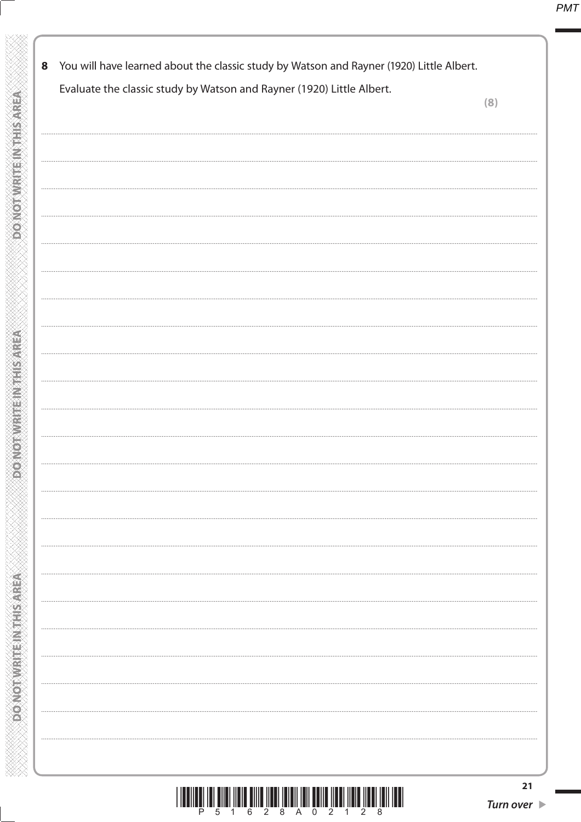| Evaluate the classic study by Watson and Rayner (1920) Little Albert. | (8) |
|-----------------------------------------------------------------------|-----|
|                                                                       |     |
|                                                                       |     |
|                                                                       |     |
|                                                                       |     |
|                                                                       |     |
|                                                                       |     |
|                                                                       |     |
|                                                                       |     |
|                                                                       |     |
|                                                                       |     |
|                                                                       |     |
|                                                                       |     |
|                                                                       |     |
|                                                                       |     |
|                                                                       |     |
|                                                                       |     |
|                                                                       |     |
|                                                                       |     |
|                                                                       |     |
|                                                                       |     |
|                                                                       |     |
|                                                                       |     |
|                                                                       |     |
|                                                                       |     |
|                                                                       |     |
|                                                                       |     |
|                                                                       |     |
|                                                                       |     |
|                                                                       |     |
|                                                                       |     |
|                                                                       |     |
|                                                                       |     |
|                                                                       |     |
|                                                                       |     |
|                                                                       |     |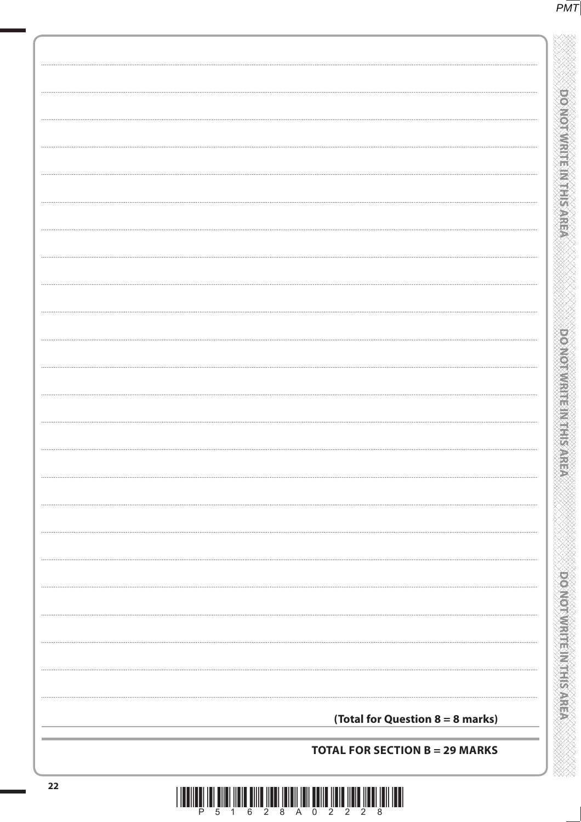| .                                     |  |
|---------------------------------------|--|
|                                       |  |
|                                       |  |
|                                       |  |
|                                       |  |
|                                       |  |
|                                       |  |
|                                       |  |
|                                       |  |
|                                       |  |
|                                       |  |
|                                       |  |
|                                       |  |
|                                       |  |
|                                       |  |
|                                       |  |
|                                       |  |
|                                       |  |
|                                       |  |
|                                       |  |
|                                       |  |
|                                       |  |
|                                       |  |
|                                       |  |
|                                       |  |
|                                       |  |
|                                       |  |
|                                       |  |
|                                       |  |
| (Total for Question 8 = 8 marks)      |  |
| <b>TOTAL FOR SECTION B = 29 MARKS</b> |  |
| 22                                    |  |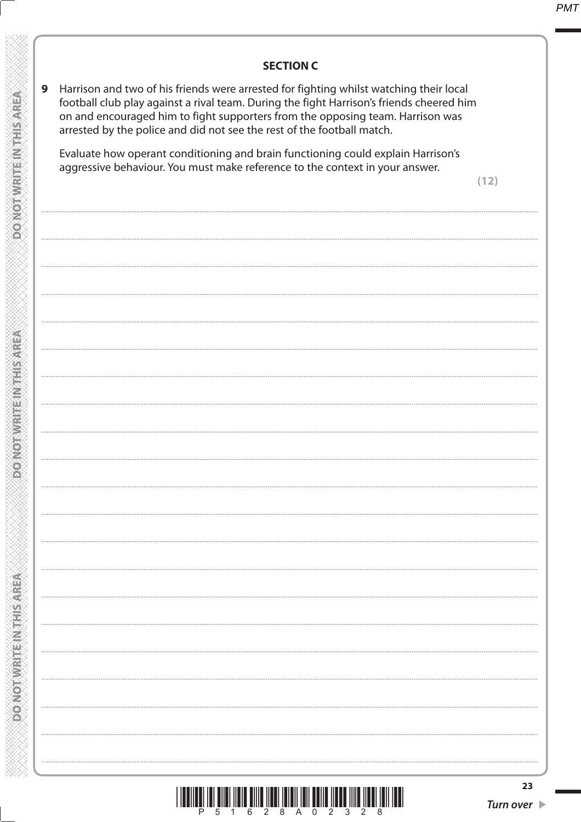# **SECTION C** Harrison and two of his friends were arrested for fighting whilst watching their local  $\boldsymbol{9}$ football club play against a rival team. During the fight Harrison's friends cheered him on and encouraged him to fight supporters from the opposing team. Harrison was arrested by the police and did not see the rest of the football match. Evaluate how operant conditioning and brain functioning could explain Harrison's aggressive behaviour. You must make reference to the context in your answer.  $(12)$

**REINSIENNE IN SUNDRONG** 

**DONOT WRITERNITIS AREA** 

**ASSISTED MARKED MARKED AND** 

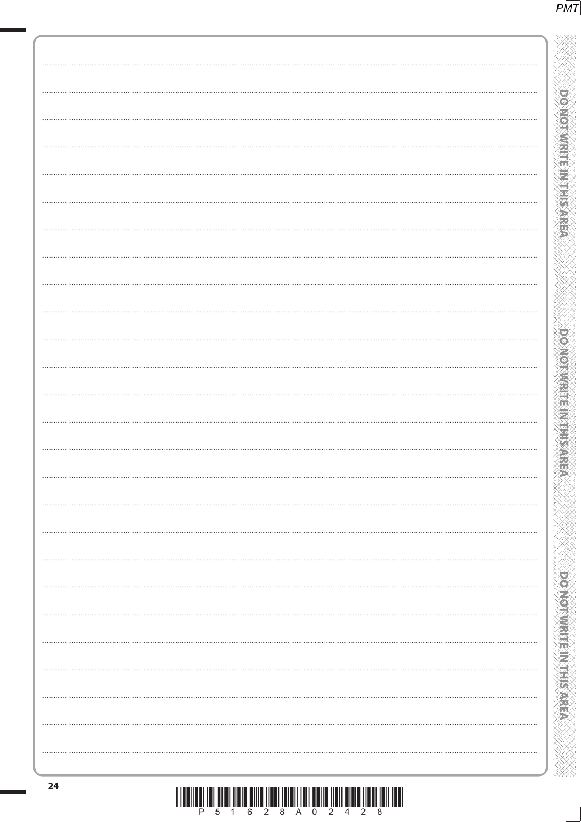|    |  | <b>DOONOGRAPH ENGINEERING</b>   |
|----|--|---------------------------------|
|    |  |                                 |
|    |  |                                 |
|    |  |                                 |
|    |  |                                 |
|    |  |                                 |
|    |  |                                 |
|    |  |                                 |
|    |  |                                 |
|    |  |                                 |
|    |  |                                 |
|    |  |                                 |
|    |  |                                 |
|    |  | <b>DONOMIA BEAM STATE</b>       |
|    |  |                                 |
|    |  |                                 |
|    |  |                                 |
|    |  |                                 |
|    |  |                                 |
|    |  |                                 |
|    |  |                                 |
|    |  | .                               |
|    |  |                                 |
|    |  |                                 |
|    |  |                                 |
|    |  |                                 |
|    |  |                                 |
|    |  | <b>PONICIAL MERICAN RATIONS</b> |
|    |  |                                 |
|    |  |                                 |
|    |  |                                 |
| 24 |  |                                 |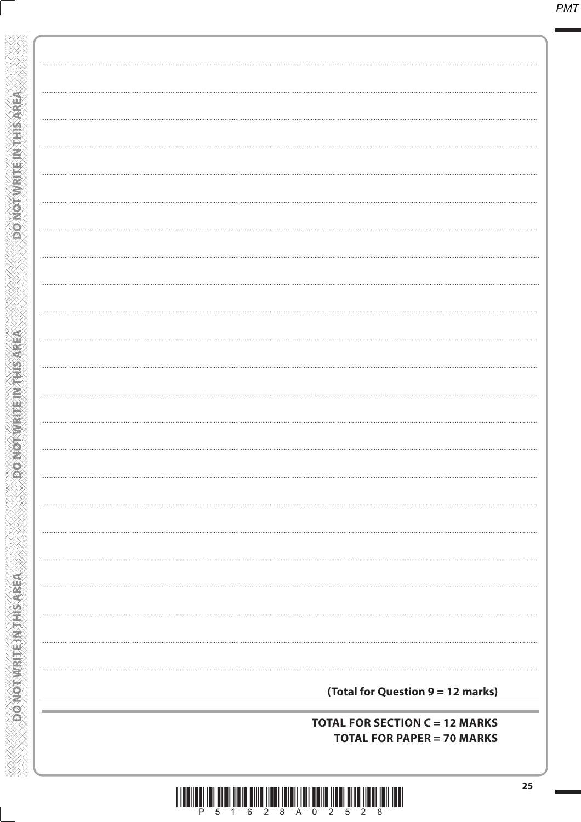| $\ddot{\bullet}$               |                                       |
|--------------------------------|---------------------------------------|
|                                |                                       |
|                                |                                       |
|                                |                                       |
|                                |                                       |
|                                |                                       |
|                                |                                       |
|                                |                                       |
|                                |                                       |
|                                |                                       |
|                                |                                       |
|                                |                                       |
|                                |                                       |
|                                |                                       |
|                                |                                       |
|                                |                                       |
|                                |                                       |
|                                |                                       |
|                                |                                       |
|                                |                                       |
|                                |                                       |
|                                |                                       |
|                                |                                       |
|                                |                                       |
|                                |                                       |
|                                |                                       |
|                                |                                       |
|                                |                                       |
|                                |                                       |
|                                |                                       |
|                                |                                       |
|                                |                                       |
|                                |                                       |
|                                |                                       |
|                                |                                       |
|                                |                                       |
|                                |                                       |
|                                |                                       |
|                                |                                       |
|                                |                                       |
|                                |                                       |
|                                |                                       |
|                                |                                       |
|                                |                                       |
|                                |                                       |
|                                |                                       |
|                                |                                       |
|                                |                                       |
|                                |                                       |
|                                |                                       |
|                                |                                       |
|                                |                                       |
|                                |                                       |
|                                |                                       |
|                                |                                       |
|                                |                                       |
|                                |                                       |
|                                |                                       |
|                                |                                       |
|                                |                                       |
|                                |                                       |
|                                | (Total for Question 9 = 12 marks)     |
|                                |                                       |
|                                |                                       |
|                                |                                       |
|                                | <b>TOTAL FOR SECTION C = 12 MARKS</b> |
| <b>AFRICA PRINCIPALISATION</b> | <b>TOTAL FOR PAPER = 70 MARKS</b>     |
|                                |                                       |
|                                |                                       |
|                                |                                       |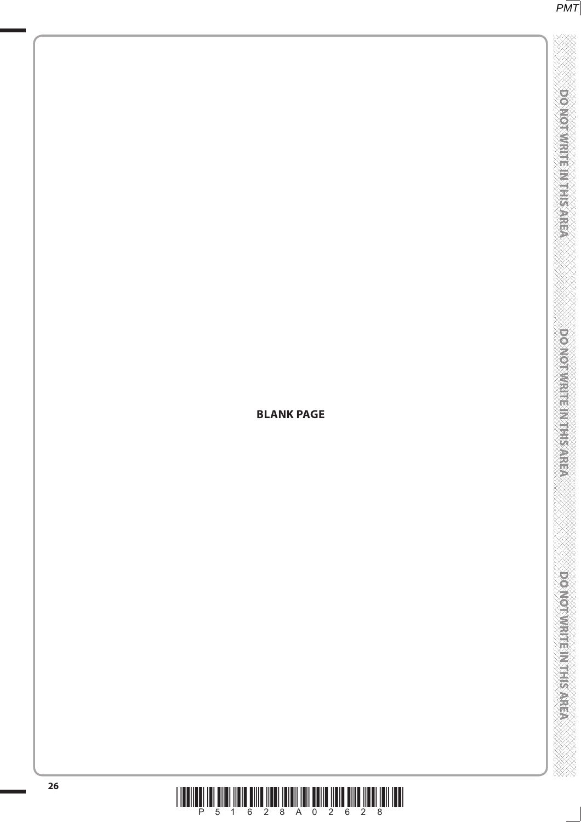DONOTWRITEINTHIS AREA

DOMOTIVE IF IN THE AREA

**DONOTWRITISM RISAREA** 

XXXX

**BLANK PAGE** 

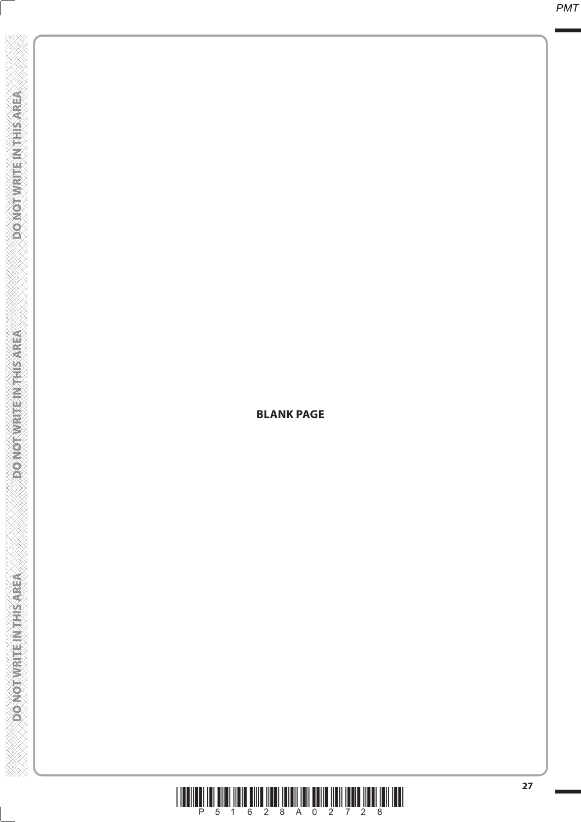**DOMOTIVILITE INTHIS AREA** 

**WWWWWWWWWWWWWW** 

**BLANK PAGE**